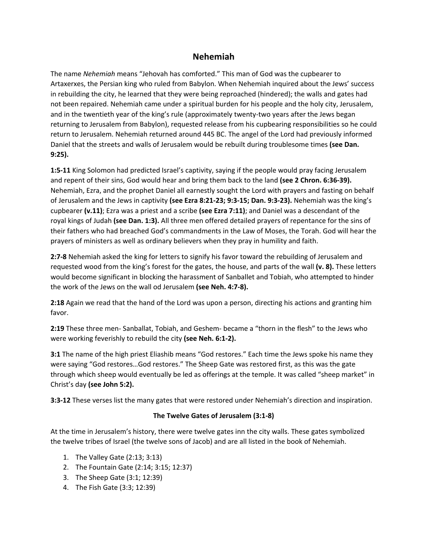# **Nehemiah**

The name *Nehemiah* means "Jehovah has comforted." This man of God was the cupbearer to Artaxerxes, the Persian king who ruled from Babylon. When Nehemiah inquired about the Jews' success in rebuilding the city, he learned that they were being reproached (hindered); the walls and gates had not been repaired. Nehemiah came under a spiritual burden for his people and the holy city, Jerusalem, and in the twentieth year of the king's rule (approximately twenty-two years after the Jews began returning to Jerusalem from Babylon), requested release from his cupbearing responsibilities so he could return to Jerusalem. Nehemiah returned around 445 BC. The angel of the Lord had previously informed Daniel that the streets and walls of Jerusalem would be rebuilt during troublesome times **(see Dan. 9:25).**

**1:5-11** King Solomon had predicted Israel's captivity, saying if the people would pray facing Jerusalem and repent of their sins, God would hear and bring them back to the land **(see 2 Chron. 6:36-39).** Nehemiah, Ezra, and the prophet Daniel all earnestly sought the Lord with prayers and fasting on behalf of Jerusalem and the Jews in captivity **(see Ezra 8:21-23; 9:3-15; Dan. 9:3-23).** Nehemiah was the king's cupbearer **(v.11)**; Ezra was a priest and a scribe **(see Ezra 7:11)**; and Daniel was a descendant of the royal kings of Judah **(see Dan. 1:3).** All three men offered detailed prayers of repentance for the sins of their fathers who had breached God's commandments in the Law of Moses, the Torah. God will hear the prayers of ministers as well as ordinary believers when they pray in humility and faith.

**2:7-8** Nehemiah asked the king for letters to signify his favor toward the rebuilding of Jerusalem and requested wood from the king's forest for the gates, the house, and parts of the wall **(v. 8).** These letters would become significant in blocking the harassment of Sanballet and Tobiah, who attempted to hinder the work of the Jews on the wall od Jerusalem **(see Neh. 4:7-8).**

**2:18** Again we read that the hand of the Lord was upon a person, directing his actions and granting him favor.

**2:19** These three men- Sanballat, Tobiah, and Geshem- became a "thorn in the flesh" to the Jews who were working feverishly to rebuild the city **(see Neh. 6:1-2).**

**3:1** The name of the high priest Eliashib means "God restores." Each time the Jews spoke his name they were saying "God restores…God restores." The Sheep Gate was restored first, as this was the gate through which sheep would eventually be led as offerings at the temple. It was called "sheep market" in Christ's day **(see John 5:2).**

**3:3-12** These verses list the many gates that were restored under Nehemiah's direction and inspiration.

### **The Twelve Gates of Jerusalem (3:1-8)**

At the time in Jerusalem's history, there were twelve gates inn the city walls. These gates symbolized the twelve tribes of Israel (the twelve sons of Jacob) and are all listed in the book of Nehemiah.

- 1. The Valley Gate (2:13; 3:13)
- 2. The Fountain Gate (2:14; 3:15; 12:37)
- 3. The Sheep Gate (3:1; 12:39)
- 4. The Fish Gate (3:3; 12:39)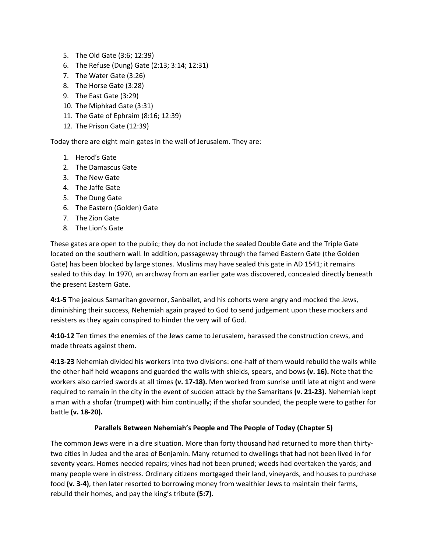- 5. The Old Gate (3:6; 12:39)
- 6. The Refuse (Dung) Gate (2:13; 3:14; 12:31)
- 7. The Water Gate (3:26)
- 8. The Horse Gate (3:28)
- 9. The East Gate (3:29)
- 10. The Miphkad Gate (3:31)
- 11. The Gate of Ephraim (8:16; 12:39)
- 12. The Prison Gate (12:39)

Today there are eight main gates in the wall of Jerusalem. They are:

- 1. Herod's Gate
- 2. The Damascus Gate
- 3. The New Gate
- 4. The Jaffe Gate
- 5. The Dung Gate
- 6. The Eastern (Golden) Gate
- 7. The Zion Gate
- 8. The Lion's Gate

These gates are open to the public; they do not include the sealed Double Gate and the Triple Gate located on the southern wall. In addition, passageway through the famed Eastern Gate (the Golden Gate) has been blocked by large stones. Muslims may have sealed this gate in AD 1541; it remains sealed to this day. In 1970, an archway from an earlier gate was discovered, concealed directly beneath the present Eastern Gate.

**4:1-5** The jealous Samaritan governor, Sanballet, and his cohorts were angry and mocked the Jews, diminishing their success, Nehemiah again prayed to God to send judgement upon these mockers and resisters as they again conspired to hinder the very will of God.

**4:10-12** Ten times the enemies of the Jews came to Jerusalem, harassed the construction crews, and made threats against them.

**4:13-23** Nehemiah divided his workers into two divisions: one-half of them would rebuild the walls while the other half held weapons and guarded the walls with shields, spears, and bows **(v. 16).** Note that the workers also carried swords at all times **(v. 17-18).** Men worked from sunrise until late at night and were required to remain in the city in the event of sudden attack by the Samaritans **(v. 21-23).** Nehemiah kept a man with a shofar (trumpet) with him continually; if the shofar sounded, the people were to gather for battle **(v. 18-20).**

### **Parallels Between Nehemiah's People and The People of Today (Chapter 5)**

The common Jews were in a dire situation. More than forty thousand had returned to more than thirtytwo cities in Judea and the area of Benjamin. Many returned to dwellings that had not been lived in for seventy years. Homes needed repairs; vines had not been pruned; weeds had overtaken the yards; and many people were in distress. Ordinary citizens mortgaged their land, vineyards, and houses to purchase food **(v. 3-4)**, then later resorted to borrowing money from wealthier Jews to maintain their farms, rebuild their homes, and pay the king's tribute **(5:7).**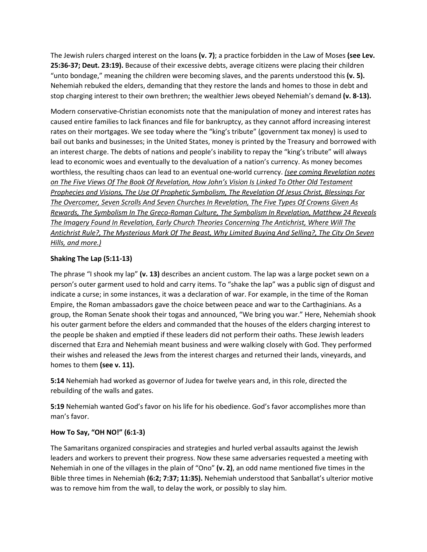The Jewish rulers charged interest on the loans **(v. 7)**; a practice forbidden in the Law of Moses **(see Lev. 25:36-37; Deut. 23:19).** Because of their excessive debts, average citizens were placing their children "unto bondage," meaning the children were becoming slaves, and the parents understood this **(v. 5).** Nehemiah rebuked the elders, demanding that they restore the lands and homes to those in debt and stop charging interest to their own brethren; the wealthier Jews obeyed Nehemiah's demand **(v. 8-13).**

Modern conservative-Christian economists note that the manipulation of money and interest rates has caused entire families to lack finances and file for bankruptcy, as they cannot afford increasing interest rates on their mortgages. We see today where the "king's tribute" (government tax money) is used to bail out banks and businesses; in the United States, money is printed by the Treasury and borrowed with an interest charge. The debts of nations and people's inability to repay the "king's tribute" will always lead to economic woes and eventually to the devaluation of a nation's currency. As money becomes worthless, the resulting chaos can lead to an eventual one-world currency. *(see coming Revelation notes on The Five Views Of The Book Of Revelation, How John's Vision Is Linked To Other Old Testament Prophecies and Visions, The Use Of Prophetic Symbolism, The Revelation Of Jesus Christ, Blessings For The Overcomer, Seven Scrolls And Seven Churches In Revelation, The Five Types Of Crowns Given As Rewards, The Symbolism In The Greco-Roman Culture, The Symbolism In Revelation, Matthew 24 Reveals The Imagery Found In Revelation, Early Church Theories Concerning The Antichrist, Where Will The Antichrist Rule?, The Mysterious Mark Of The Beast, Why Limited Buying And Selling?, The City On Seven Hills, and more.)*

### **Shaking The Lap (5:11-13)**

The phrase "I shook my lap" **(v. 13)** describes an ancient custom. The lap was a large pocket sewn on a person's outer garment used to hold and carry items. To "shake the lap" was a public sign of disgust and indicate a curse; in some instances, it was a declaration of war. For example, in the time of the Roman Empire, the Roman ambassadors gave the choice between peace and war to the Carthaginians. As a group, the Roman Senate shook their togas and announced, "We bring you war." Here, Nehemiah shook his outer garment before the elders and commanded that the houses of the elders charging interest to the people be shaken and emptied if these leaders did not perform their oaths. These Jewish leaders discerned that Ezra and Nehemiah meant business and were walking closely with God. They performed their wishes and released the Jews from the interest charges and returned their lands, vineyards, and homes to them **(see v. 11).**

**5:14** Nehemiah had worked as governor of Judea for twelve years and, in this role, directed the rebuilding of the walls and gates.

**5:19** Nehemiah wanted God's favor on his life for his obedience. God's favor accomplishes more than man's favor.

### **How To Say, "OH NO!" (6:1-3)**

The Samaritans organized conspiracies and strategies and hurled verbal assaults against the Jewish leaders and workers to prevent their progress. Now these same adversaries requested a meeting with Nehemiah in one of the villages in the plain of "Ono" **(v. 2)**, an odd name mentioned five times in the Bible three times in Nehemiah **(6:2; 7:37; 11:35).** Nehemiah understood that Sanballat's ulterior motive was to remove him from the wall, to delay the work, or possibly to slay him.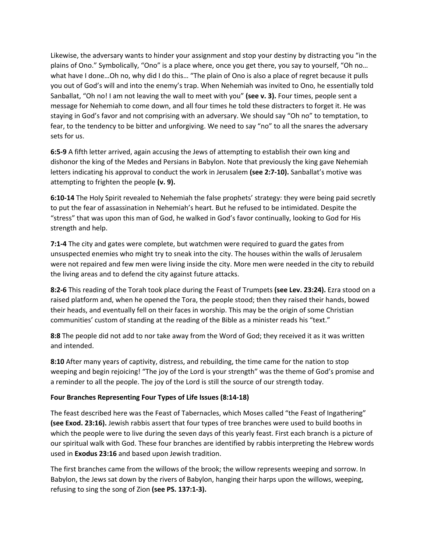Likewise, the adversary wants to hinder your assignment and stop your destiny by distracting you "in the plains of Ono." Symbolically, "Ono" is a place where, once you get there, you say to yourself, "Oh no… what have I done…Oh no, why did I do this… "The plain of Ono is also a place of regret because it pulls you out of God's will and into the enemy's trap. When Nehemiah was invited to Ono, he essentially told Sanballat, "Oh no! I am not leaving the wall to meet with you" **(see v. 3).** Four times, people sent a message for Nehemiah to come down, and all four times he told these distracters to forget it. He was staying in God's favor and not comprising with an adversary. We should say "Oh no" to temptation, to fear, to the tendency to be bitter and unforgiving. We need to say "no" to all the snares the adversary sets for us.

**6:5-9** A fifth letter arrived, again accusing the Jews of attempting to establish their own king and dishonor the king of the Medes and Persians in Babylon. Note that previously the king gave Nehemiah letters indicating his approval to conduct the work in Jerusalem **(see 2:7-10).** Sanballat's motive was attempting to frighten the people **(v. 9).**

**6:10-14** The Holy Spirit revealed to Nehemiah the false prophets' strategy: they were being paid secretly to put the fear of assassination in Nehemiah's heart. But he refused to be intimidated. Despite the "stress" that was upon this man of God, he walked in God's favor continually, looking to God for His strength and help.

**7:1-4** The city and gates were complete, but watchmen were required to guard the gates from unsuspected enemies who might try to sneak into the city. The houses within the walls of Jerusalem were not repaired and few men were living inside the city. More men were needed in the city to rebuild the living areas and to defend the city against future attacks.

**8:2-6** This reading of the Torah took place during the Feast of Trumpets **(see Lev. 23:24).** Ezra stood on a raised platform and, when he opened the Tora, the people stood; then they raised their hands, bowed their heads, and eventually fell on their faces in worship. This may be the origin of some Christian communities' custom of standing at the reading of the Bible as a minister reads his "text."

**8:8** The people did not add to nor take away from the Word of God; they received it as it was written and intended.

**8:10** After many years of captivity, distress, and rebuilding, the time came for the nation to stop weeping and begin rejoicing! "The joy of the Lord is your strength" was the theme of God's promise and a reminder to all the people. The joy of the Lord is still the source of our strength today.

### **Four Branches Representing Four Types of Life Issues (8:14-18)**

The feast described here was the Feast of Tabernacles, which Moses called "the Feast of Ingathering" **(see Exod. 23:16).** Jewish rabbis assert that four types of tree branches were used to build booths in which the people were to live during the seven days of this yearly feast. First each branch is a picture of our spiritual walk with God. These four branches are identified by rabbis interpreting the Hebrew words used in **Exodus 23:16** and based upon Jewish tradition.

The first branches came from the willows of the brook; the willow represents weeping and sorrow. In Babylon, the Jews sat down by the rivers of Babylon, hanging their harps upon the willows, weeping, refusing to sing the song of Zion **(see PS. 137:1-3).**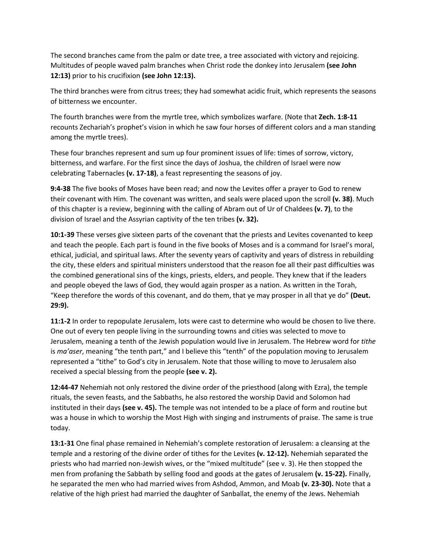The second branches came from the palm or date tree, a tree associated with victory and rejoicing. Multitudes of people waved palm branches when Christ rode the donkey into Jerusalem **(see John 12:13)** prior to his crucifixion **(see John 12:13).**

The third branches were from citrus trees; they had somewhat acidic fruit, which represents the seasons of bitterness we encounter.

The fourth branches were from the myrtle tree, which symbolizes warfare. (Note that **Zech. 1:8-11** recounts Zechariah's prophet's vision in which he saw four horses of different colors and a man standing among the myrtle trees).

These four branches represent and sum up four prominent issues of life: times of sorrow, victory, bitterness, and warfare. For the first since the days of Joshua, the children of Israel were now celebrating Tabernacles **(v. 17-18)**, a feast representing the seasons of joy.

**9:4-38** The five books of Moses have been read; and now the Levites offer a prayer to God to renew their covenant with Him. The covenant was written, and seals were placed upon the scroll **(v. 38)**. Much of this chapter is a review, beginning with the calling of Abram out of Ur of Chaldees **(v. 7)**, to the division of Israel and the Assyrian captivity of the ten tribes **(v. 32).**

**10:1-39** These verses give sixteen parts of the covenant that the priests and Levites covenanted to keep and teach the people. Each part is found in the five books of Moses and is a command for Israel's moral, ethical, judicial, and spiritual laws. After the seventy years of captivity and years of distress in rebuilding the city, these elders and spiritual ministers understood that the reason foe all their past difficulties was the combined generational sins of the kings, priests, elders, and people. They knew that if the leaders and people obeyed the laws of God, they would again prosper as a nation. As written in the Torah, "Keep therefore the words of this covenant, and do them, that ye may prosper in all that ye do" **(Deut. 29:9).**

**11:1-2** In order to repopulate Jerusalem, lots were cast to determine who would be chosen to live there. One out of every ten people living in the surrounding towns and cities was selected to move to Jerusalem, meaning a tenth of the Jewish population would live in Jerusalem. The Hebrew word for *tithe* is *ma'aser*, meaning "the tenth part," and I believe this "tenth" of the population moving to Jerusalem represented a "tithe" to God's city in Jerusalem. Note that those willing to move to Jerusalem also received a special blessing from the people **(see v. 2).**

**12:44-47** Nehemiah not only restored the divine order of the priesthood (along with Ezra), the temple rituals, the seven feasts, and the Sabbaths, he also restored the worship David and Solomon had instituted in their days **(see v. 45).** The temple was not intended to be a place of form and routine but was a house in which to worship the Most High with singing and instruments of praise. The same is true today.

**13:1-31** One final phase remained in Nehemiah's complete restoration of Jerusalem: a cleansing at the temple and a restoring of the divine order of tithes for the Levites **(v. 12-12).** Nehemiah separated the priests who had married non-Jewish wives, or the "mixed multitude" (see v. 3). He then stopped the men from profaning the Sabbath by selling food and goods at the gates of Jerusalem **(v. 15-22).** Finally, he separated the men who had married wives from Ashdod, Ammon, and Moab **(v. 23-30).** Note that a relative of the high priest had married the daughter of Sanballat, the enemy of the Jews. Nehemiah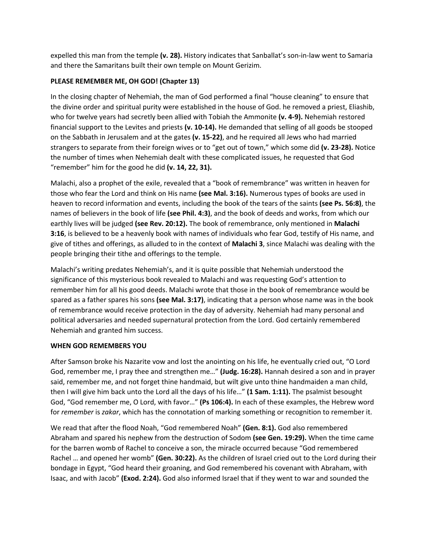expelled this man from the temple **(v. 28).** History indicates that Sanballat's son-in-law went to Samaria and there the Samaritans built their own temple on Mount Gerizim.

## **PLEASE REMEMBER ME, OH GOD! (Chapter 13)**

In the closing chapter of Nehemiah, the man of God performed a final "house cleaning" to ensure that the divine order and spiritual purity were established in the house of God. he removed a priest, Eliashib, who for twelve years had secretly been allied with Tobiah the Ammonite **(v. 4-9).** Nehemiah restored financial support to the Levites and priests **(v. 10-14).** He demanded that selling of all goods be stooped on the Sabbath in Jerusalem and at the gates **(v. 15-22)**, and he required all Jews who had married strangers to separate from their foreign wives or to "get out of town," which some did **(v. 23-28).** Notice the number of times when Nehemiah dealt with these complicated issues, he requested that God "remember" him for the good he did **(v. 14, 22, 31).** 

Malachi, also a prophet of the exile, revealed that a "book of remembrance" was written in heaven for those who fear the Lord and think on His name **(see Mal. 3:16).** Numerous types of books are used in heaven to record information and events, including the book of the tears of the saints **(see Ps. 56:8)**, the names of believers in the book of life **(see Phil. 4:3)**, and the book of deeds and works, from which our earthly lives will be judged **(see Rev. 20:12).** The book of remembrance, only mentioned in **Malachi 3:16**, is believed to be a heavenly book with names of individuals who fear God, testify of His name, and give of tithes and offerings, as alluded to in the context of **Malachi 3**, since Malachi was dealing with the people bringing their tithe and offerings to the temple.

Malachi's writing predates Nehemiah's, and it is quite possible that Nehemiah understood the significance of this mysterious book revealed to Malachi and was requesting God's attention to remember him for all his good deeds. Malachi wrote that those in the book of remembrance would be spared as a father spares his sons **(see Mal. 3:17)**, indicating that a person whose name was in the book of remembrance would receive protection in the day of adversity. Nehemiah had many personal and political adversaries and needed supernatural protection from the Lord. God certainly remembered Nehemiah and granted him success.

### **WHEN GOD REMEMBERS YOU**

After Samson broke his Nazarite vow and lost the anointing on his life, he eventually cried out, "O Lord God, remember me, I pray thee and strengthen me…" **(Judg. 16:28).** Hannah desired a son and in prayer said, remember me, and not forget thine handmaid, but wilt give unto thine handmaiden a man child, then I will give him back unto the Lord all the days of his life…" **(1 Sam. 1:11).** The psalmist besought God, "God remember me, O Lord, with favor…" **(Ps 106:4).** In each of these examples, the Hebrew word for *remember* is *zakar*, which has the connotation of marking something or recognition to remember it.

We read that after the flood Noah, "God remembered Noah" **(Gen. 8:1).** God also remembered Abraham and spared his nephew from the destruction of Sodom **(see Gen. 19:29).** When the time came for the barren womb of Rachel to conceive a son, the miracle occurred because "God remembered Rachel … and opened her womb" **(Gen. 30:22).** As the children of Israel cried out to the Lord during their bondage in Egypt, "God heard their groaning, and God remembered his covenant with Abraham, with Isaac, and with Jacob" **(Exod. 2:24).** God also informed Israel that if they went to war and sounded the